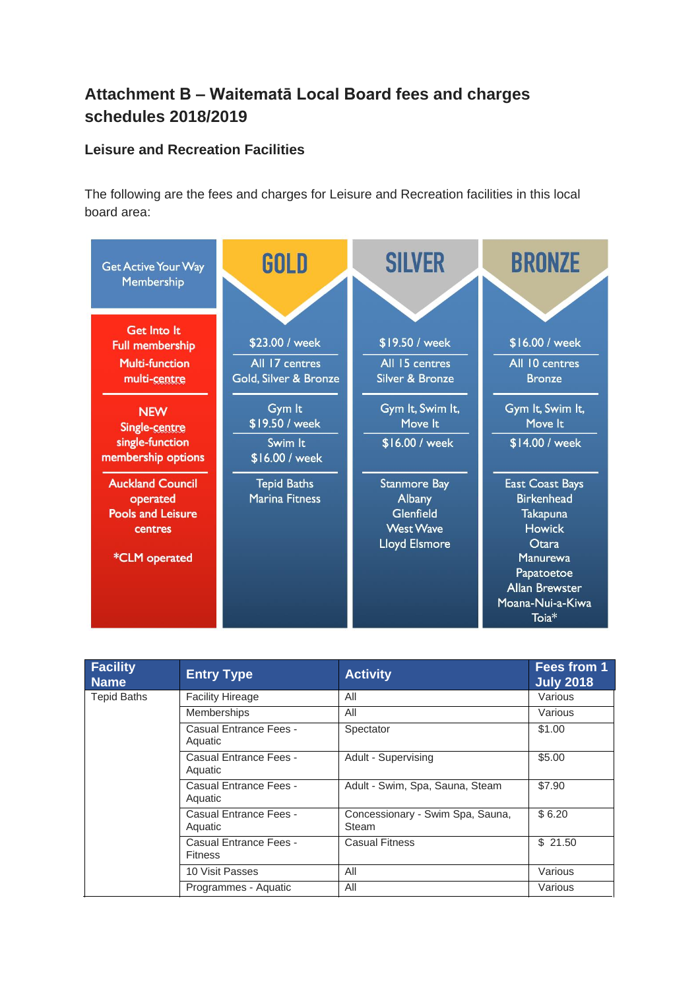## **Attachment B – Waitematā Local Board fees and charges schedules 2018/2019**

## **Leisure and Recreation Facilities**

The following are the fees and charges for Leisure and Recreation facilities in this local board area:



| <b>Facility</b><br><b>Name</b> | <b>Entry Type</b>                        | <b>Activity</b>                           | Fees from 1<br><b>July 2018</b> |
|--------------------------------|------------------------------------------|-------------------------------------------|---------------------------------|
| <b>Tepid Baths</b>             | <b>Facility Hireage</b>                  | All                                       | Various                         |
|                                | <b>Memberships</b>                       | All                                       | Various                         |
|                                | Casual Entrance Fees -<br>Aquatic        | Spectator                                 | \$1.00                          |
|                                | Casual Entrance Fees -<br>Aquatic        | Adult - Supervising                       | \$5.00                          |
|                                | Casual Entrance Fees -<br>Aquatic        | Adult - Swim, Spa, Sauna, Steam           | \$7.90                          |
|                                | Casual Entrance Fees -<br>Aquatic        | Concessionary - Swim Spa, Sauna,<br>Steam | \$6.20                          |
|                                | Casual Entrance Fees -<br><b>Fitness</b> | <b>Casual Fitness</b>                     | \$21.50                         |
|                                | 10 Visit Passes                          | All                                       | Various                         |
|                                | Programmes - Aquatic                     | All                                       | Various                         |